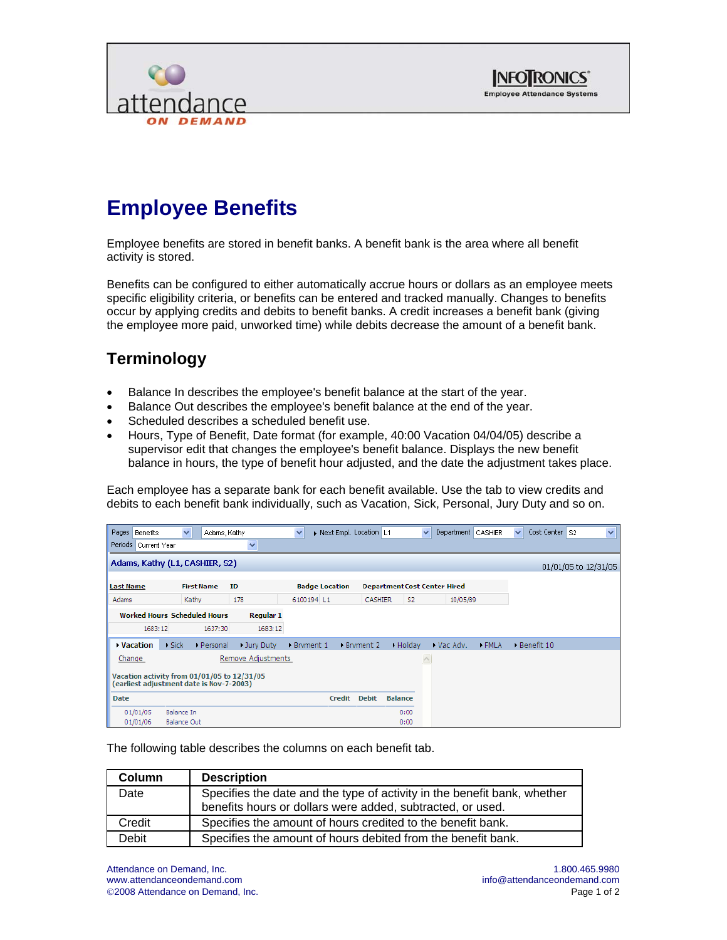



## **Employee Benefits**

Employee benefits are stored in benefit banks. A benefit bank is the area where all benefit activity is stored.

Benefits can be configured to either automatically accrue hours or dollars as an employee meets specific eligibility criteria, or benefits can be entered and tracked manually. Changes to benefits occur by applying credits and debits to benefit banks. A credit increases a benefit bank (giving the employee more paid, unworked time) while debits decrease the amount of a benefit bank.

## **Terminology**

- Balance In describes the employee's benefit balance at the start of the year.
- Balance Out describes the employee's benefit balance at the end of the year.
- Scheduled describes a scheduled benefit use.
- Hours, Type of Benefit, Date format (for example, 40:00 Vacation 04/04/05) describe a supervisor edit that changes the employee's benefit balance. Displays the new benefit balance in hours, the type of benefit hour adjusted, and the date the adjustment takes place.

Each employee has a separate bank for each benefit available. Use the tab to view credits and debits to each benefit bank individually, such as Vacation, Sick, Personal, Jury Duty and so on.

| Pages Benefits                                                                          |                                     | $\checkmark$          | Adams, Kathy      |                    | $\checkmark$ | Next Empl. Location L1 |             |              |                | $\checkmark$ | Department CASHIER                  |             | $\checkmark$ | Cost Center | l S2 | $\checkmark$         |
|-----------------------------------------------------------------------------------------|-------------------------------------|-----------------------|-------------------|--------------------|--------------|------------------------|-------------|--------------|----------------|--------------|-------------------------------------|-------------|--------------|-------------|------|----------------------|
| Periods Current Year                                                                    |                                     |                       |                   | $\checkmark$       |              |                        |             |              |                |              |                                     |             |              |             |      |                      |
| Adams, Kathy (L1, CASHIER, S2)                                                          |                                     |                       |                   |                    |              |                        |             |              |                |              |                                     |             |              |             |      | 01/01/05 to 12/31/05 |
| <b>Last Name</b>                                                                        |                                     |                       | <b>First Name</b> | ID                 |              | <b>Badge Location</b>  |             |              |                |              | <b>Department Cost Center Hired</b> |             |              |             |      |                      |
| Adams                                                                                   |                                     | Kathy                 |                   | 178                |              | 6100194 L1             |             | CASHIER      | S <sub>2</sub> |              | 10/05/89                            |             |              |             |      |                      |
|                                                                                         | <b>Worked Hours Scheduled Hours</b> |                       |                   | <b>Regular 1</b>   |              |                        |             |              |                |              |                                     |             |              |             |      |                      |
|                                                                                         | 1683:12                             |                       | 1637:30           | 1683:12            |              |                        |             |              |                |              |                                     |             |              |             |      |                      |
| ▸ Vacation                                                                              |                                     | $\triangleright$ Sick | Personal          | Dury Duty          | Bryment 1    |                        | ▶ Bryment 2 |              | • Holiday      |              | • Vac Adv.                          | <b>FMLA</b> |              | Benefit 10  |      |                      |
| Change                                                                                  |                                     |                       |                   | Remove Adjustments |              |                        |             |              |                |              |                                     |             |              |             |      |                      |
| Vacation activity from 01/01/05 to 12/31/05<br>(earliest adjustment date is Nov-7-2003) |                                     |                       |                   |                    |              |                        |             |              |                |              |                                     |             |              |             |      |                      |
| <b>Date</b>                                                                             |                                     |                       |                   |                    |              | Credit                 |             | <b>Debit</b> | <b>Balance</b> |              |                                     |             |              |             |      |                      |
| 01/01/05                                                                                |                                     | Balance In            |                   |                    |              |                        |             |              | 0:00           |              |                                     |             |              |             |      |                      |
| 01/01/06                                                                                |                                     | <b>Balance Out</b>    |                   |                    |              |                        |             |              | 0:00           |              |                                     |             |              |             |      |                      |

The following table describes the columns on each benefit tab.

| Column | <b>Description</b>                                                                                                                     |
|--------|----------------------------------------------------------------------------------------------------------------------------------------|
| Date   | Specifies the date and the type of activity in the benefit bank, whether<br>benefits hours or dollars were added, subtracted, or used. |
| Credit | Specifies the amount of hours credited to the benefit bank.                                                                            |
| Debit  | Specifies the amount of hours debited from the benefit bank.                                                                           |